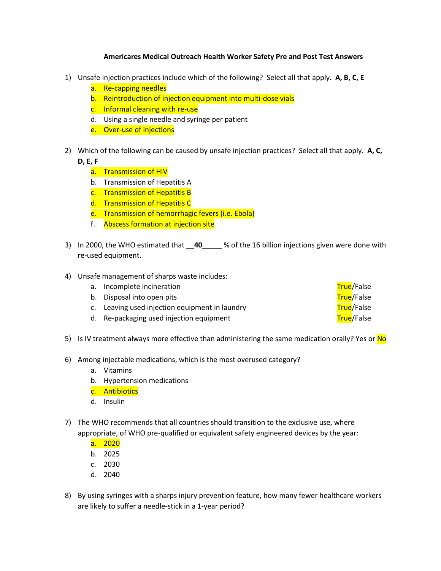## **Americares Medical Outreach Health Worker Safety Pre and Post Test Answers**

- 1) Unsafe injection practices include which of the following? Select all that apply**. A, B, C, E**
	- a. Re-capping needles
	- b. Reintroduction of injection equipment into multi-dose vials
	- c. Informal cleaning with re-use
	- d. Using a single needle and syringe per patient
	- e. Over-use of injections
- 2) Which of the following can be caused by unsafe injection practices? Select all that apply. **A, C, D, E, F**
	- a. Transmission of HIV
	- b. Transmission of Hepatitis A
	- c. Transmission of Hepatitis B
	- d. Transmission of Hepatitis C
	- e. Transmission of hemorrhagic fevers (i.e. Ebola)
	- f. Abscess formation at injection site
- 3) In 2000, the WHO estimated that \_\_**40**\_\_\_\_\_ % of the 16 billion injections given were done with re-used equipment.
- 4) Unsafe management of sharps waste includes:

| a. Incomplete incineration                     | <b>True</b> /False |
|------------------------------------------------|--------------------|
| b. Disposal into open pits                     | <b>True</b> /False |
| c. Leaving used injection equipment in laundry | <b>True</b> /False |
| d. Re-packaging used injection equipment       | True/False         |

- 5) Is IV treatment always more effective than administering the same medication orally? Yes or No
- 6) Among injectable medications, which is the most overused category?
	- a. Vitamins
	- b. Hypertension medications
	- c. Antibiotics
	- d. Insulin
- 7) The WHO recommends that all countries should transition to the exclusive use, where appropriate, of WHO pre-qualified or equivalent safety engineered devices by the year:
	- a. 2020
	- b. 2025
	- c. 2030
	- d. 2040
- 8) By using syringes with a sharps injury prevention feature, how many fewer healthcare workers are likely to suffer a needle-stick in a 1-year period?